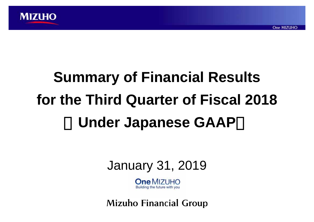

# **Summary of Financial Results for the Third Quarter of Fiscal 2018** <sup>&</sup>lt;**Under Japanese GAAP**<sup>&</sup>gt;

**One MIZUHO** 



 $One$   $MIZL$   $H\Omega$ Building the future with you

**Mizuho Financial Group**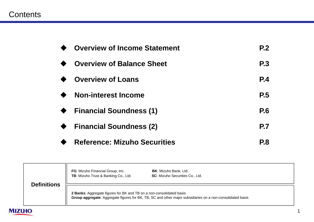#### Contents

| <b>Overview of Income Statement</b> | P <sub>2</sub> |
|-------------------------------------|----------------|
| <b>Overview of Balance Sheet</b>    | <b>P.3</b>     |
| <b>Overview of Loans</b>            | <b>P.4</b>     |
| <b>Non-interest Income</b>          | P.5            |
| <b>Financial Soundness (1)</b>      | <b>P.6</b>     |
| <b>Financial Soundness (2)</b>      | <b>P.7</b>     |
| <b>Reference: Mizuho Securities</b> | <b>P.8</b>     |

|               |                    | FG: Mizuho Financial Group, Inc.<br>TB: Mizuho Trust & Banking Co., Ltd.                                                                                                           | <b>BK:</b> Mizuho Bank, Ltd.<br><b>SC:</b> Mizuho Securities Co., Ltd. |
|---------------|--------------------|------------------------------------------------------------------------------------------------------------------------------------------------------------------------------------|------------------------------------------------------------------------|
|               | <b>Definitions</b> | 2 Banks: Aggregate figures for BK and TB on a non-consolidated basis<br>Group aggregate: Aggregate figures for BK, TB, SC and other major subsidiaries on a non-consolidated basis |                                                                        |
| <b>MIZUHO</b> |                    |                                                                                                                                                                                    |                                                                        |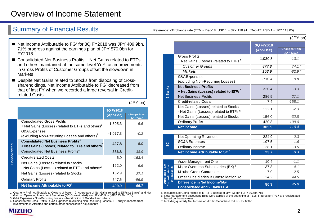### Overview of Income Statement

Summary of Financial Results Results Reference: <Exchange rate (TTM)> Dec-18: USD 1 = JPY 110.91 (Dec-17: USD 1 = JPY 113.05)

- $\blacksquare$  Net Income Attributable to FG<sup>1</sup> for 3Q FY2018 was JPY 409.9bn, 71% progress against the earnings plan of JPY 570.0bn for FY2018
- Consolidated Net Business Profits + Net Gains related to ETFs and others maintained at the same level YoY, as improvements in Gross Profits of Customer Groups offset the slowdown in **Markets**
- Despite Net Gains related to Stocks from disposing of crossshareholdings, Net Income Attributable to  $FG<sup>1</sup>$  decreased from that of last FY when we recorded a large reversal in Creditrelated Costs

(JPY bn)

|                                                                                                         | <b>3Q FY2018</b><br>(Apr-Dec) | <b>Changes from</b><br>3Q FY2017 |
|---------------------------------------------------------------------------------------------------------|-------------------------------|----------------------------------|
| <b>Consolidated Gross Profits</b><br>+ Net Gains (Losses) related to ETFs and others <sup>2</sup>       | 1,505.3                       | $-5.6$                           |
| <b>G&amp;A Expenses</b><br>(excluding Non-Recurring Losses and others) <sup>3</sup>                     | $-1,077.3$                    | $-0.2$                           |
| <b>Consolidated Net Business Profits<sup>4</sup></b><br>+ Net Gains (Losses) related to ETFs and others | 427.8                         | 5.0                              |
| Consolidated Net Business Profits <sup>4</sup>                                                          | 386.8                         | 38.9                             |
| <b>Credit-related Costs</b>                                                                             | 6.0                           | $-163.4$                         |
| Net Gains (Losses) related to Stocks<br>- Net Gains (Losses) related to ETFs and others <sup>2</sup>    | 122.0                         | 6.6                              |
| Net Gains (Losses) related to Stocks                                                                    | 162.9                         | $-27.1$                          |
| <b>Ordinary Profits</b>                                                                                 | 547.5                         | $-96.9$                          |
| Net Income Attributable to FG <sup>1</sup>                                                              | 409.9                         | $-65.7$                          |

1. Quarterly Profit Attributable to Owners of Parent 2. Aggregate of Net Gains related to ETFs (2 Banks) and Net<br> Gain on Operating Investment Securities (SC Consolidated) was JPY 40.9bn (-JPY 33.8bn YoY)<br>3. G&A Expense

Investments in Affiliates and certain other consolidation adjustments



**Consolidated**

Consolidated

|                                                                                  |                                                                                           |                        | (JPY bn)                         |
|----------------------------------------------------------------------------------|-------------------------------------------------------------------------------------------|------------------------|----------------------------------|
|                                                                                  |                                                                                           | 3Q FY2018<br>(Apr-Dec) | <b>Changes from</b><br>3Q FY2017 |
|                                                                                  | <b>Gross Profits</b><br>+ Net Gains (Losses) related to ETFs <sup>5</sup>                 | 1,030.8                | $-13.1$                          |
|                                                                                  | <b>Customer Groups</b>                                                                    | 877.8                  | 74.1 <sup>6</sup>                |
|                                                                                  | <b>Markets</b>                                                                            | 153.9                  | $-82.96$                         |
|                                                                                  | <b>G&amp;A Expenses</b><br>(excluding Non-Recurring Losses)                               | $-710.4$               | 9.8                              |
| 2 Banks                                                                          | <b>Net Business Profits</b><br>+ Net Gains (Losses) related to ETFs $^5$                  | 320.4                  | $-3.3$                           |
|                                                                                  | <b>Net Business Profits</b>                                                               | 286.5                  | 27.1                             |
|                                                                                  | <b>Credit-related Costs</b>                                                               | 7.4                    | $-158.1$                         |
|                                                                                  | Net Gains (Losses) related to Stocks<br>- Net Gains (Losses) related to ETFs <sup>5</sup> | 122.1                  | $-2.3$                           |
|                                                                                  | Net Gains (Losses) related to Stocks                                                      | 156.0                  | $-32.8$                          |
|                                                                                  | <b>Ordinary Profits</b>                                                                   | 420.8                  | $-109.0$                         |
|                                                                                  | <b>Net Income</b>                                                                         | 305.9                  | $-110.4$                         |
|                                                                                  | <b>Net Operating Revenues</b>                                                             | 224.9                  | $-2.3$                           |
|                                                                                  | <b>SG&amp;A Expenses</b>                                                                  | $-197.5$               | $-1.6$                           |
| ပ္တ                                                                              | Ordinary Income                                                                           | 28.1                   | $-3.5$                           |
|                                                                                  | Net Income Attributable to SC <sup>1</sup>                                                | 23.7                   | $-0.3$                           |
|                                                                                  |                                                                                           | 10.4                   | $-1.1$                           |
|                                                                                  | Asset Management One                                                                      |                        |                                  |
| <b>Consolidated and</b><br>Difference b/w<br>Banks+SC<br>$\overline{\mathbf{N}}$ | Major Overseas Subsidiaries (BK) <sup>7</sup><br>Mizuho Credit Guarantee                  | 37.8<br>7.9            | 4.1<br>$-2.5$                    |
|                                                                                  | Other Subsidiaries & Consolidation Adj.                                                   | 24.2                   | 44.5                             |
|                                                                                  | Difference in Net Income <sup>1</sup> b/w<br><b>Consolidated and 2 Banks+SC</b>           | 80.3                   | 45.0                             |

5. Including Net Gains related to ETFs (2 Banks) of JPY 33.8bn (-JPY 30.5bn YoY)

6. New management accounting rules were applied at the beginning of FY18. Figures for FY17 are recalculated based on the new rules

7. Including quarterly Net Income of Mizuho Securities USA of JPY 6.9bn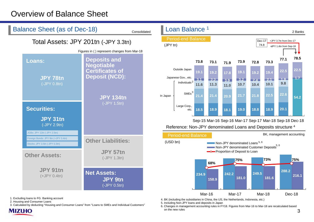## Overview of Balance Sheet



1. Excluding loans to FG. Banking account

2. Housing and Consumer Loans

**MIZUHO** 

3. Calculated by deducting "Housing and Consumer Loans" from "Loans to SMEs and Individual Customers"

4. BK (including the subsidiaries in China, the US, the Netherlands, Indonesia, etc.)

5. Including Non-JPY loans and deposits in Japan

36. Changes in management accounting rules in FY18. Figures from Mar-16 to Mar-18 are recalculated based on the new rules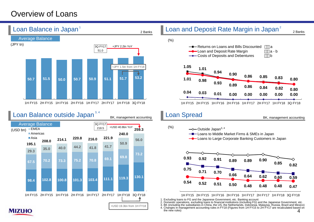#### Overview of Loans

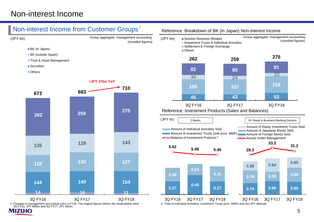#### Non-interest Income

#### Non-interest Income from Customer Groups 1





3Q FY16: JPY 685bn and 3Q FY17: JPY 692bn MIZIHO

#### Reference: Breakdown of BK (in Japan) Non-interest Income



5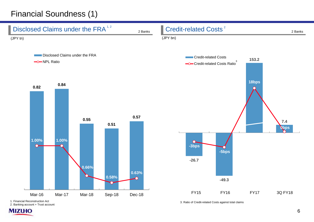# Financial Soundness (1)



2. Banking account + Trust account

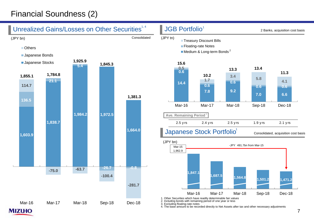# Financial Soundness (2)

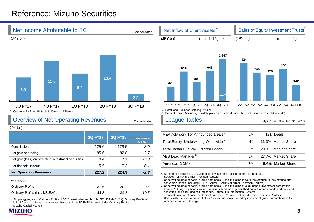#### Reference: Mizuho Securities



*-0.1*

|                                             | ----- | -- ''' | ---   |
|---------------------------------------------|-------|--------|-------|
| Reference:                                  |       |        |       |
| Ordinary Profits                            | 31.6  | 28.1   | -3.5  |
| Ordinary Profits (incl. MSUSA) <sup>4</sup> | 44.8  | 34.2   | -10.5 |

Net gain (loss) on operating investment securities  $10.4$  7.1  $-3.3$ 

 **Net Operating Revenues 227.2 224.9** *-2.3*

Net financial Income 6.3

4. Simple aggregate of Ordinary Profits of SC Consolidated and Mizuho SC USA (MSUSA). Ordinary Profits of MSUSA are on internal management basis, and the 3Q FY18 figure includes Ordinary Profits of Mizuho Capital Markets



#### 5. Number of deals basis. Any Japanese involvement, excluding real estate deals. Source: Refinitiv (Former Thomson Reuters)

9

6. Underwriting amount basis, pricing date basis. Deals including initial public offering, public offering and convertible bonds, including REITs. Source: Refinitiv (Former Thomson Reuters)

ABS Lead Manager <sup>8</sup> and the state of the 1st 23.7% Market Share

7. Underwriting amount basis, pricing date basis. Deals including straight bonds, investment corporation bonds, Zaito agency bonds, municipal bonds (lead manager method only), Samurai bonds and preferred securities, and excluding self-led bonds. Source: I-N Information Systems

8. Transaction amount basis, settlement date basis. Source: Refinitiv (Former Thomson Reuters)

9. Bonds with issuance amount of USD 250mm and above issued by investment grade corporations in the Americas. Source: Dealogic

2, 3

8<sup>th</sup> 5.6% Market Share